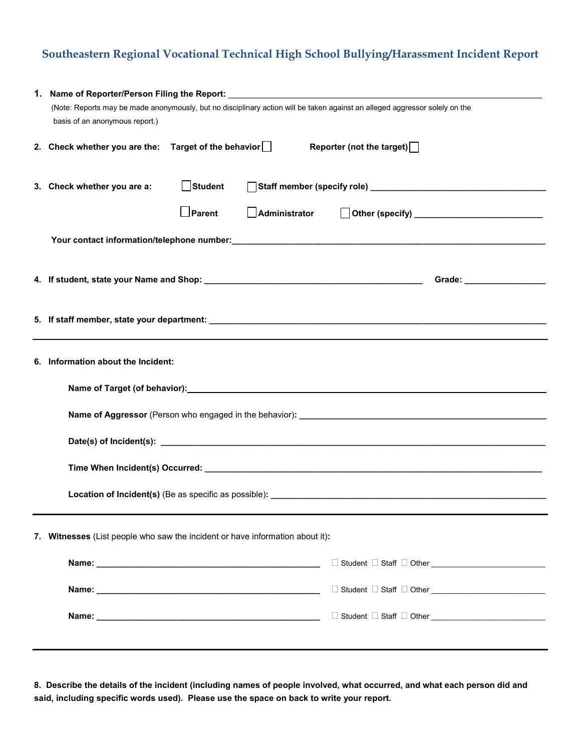## **Southeastern Regional Vocational Technical High School Bullying/Harassment Incident Report**

| (Note: Reports may be made anonymously, but no disciplinary action will be taken against an alleged aggressor solely on the |  |  |  |  |
|-----------------------------------------------------------------------------------------------------------------------------|--|--|--|--|
| basis of an anonymous report.)                                                                                              |  |  |  |  |
| 2. Check whether you are the: Target of the behavior    <br>Reporter (not the target)                                       |  |  |  |  |
| Student<br>3. Check whether you are a:                                                                                      |  |  |  |  |
| Parent<br>Administrator                                                                                                     |  |  |  |  |
|                                                                                                                             |  |  |  |  |
|                                                                                                                             |  |  |  |  |
|                                                                                                                             |  |  |  |  |
|                                                                                                                             |  |  |  |  |
|                                                                                                                             |  |  |  |  |
| 6. Information about the Incident:                                                                                          |  |  |  |  |
| Name of Target (of behavior): example and a series of the series of the series of the series of the series of               |  |  |  |  |
|                                                                                                                             |  |  |  |  |
|                                                                                                                             |  |  |  |  |
|                                                                                                                             |  |  |  |  |
|                                                                                                                             |  |  |  |  |
|                                                                                                                             |  |  |  |  |
| 7. Witnesses (List people who saw the incident or have information about it):                                               |  |  |  |  |
|                                                                                                                             |  |  |  |  |
| □ Student □ Staff □ Other                                                                                                   |  |  |  |  |
|                                                                                                                             |  |  |  |  |
|                                                                                                                             |  |  |  |  |

**8. Describe the details of the incident (including names of people involved, what occurred, and what each person did and said, including specific words used). Please use the space on back to write your report.**